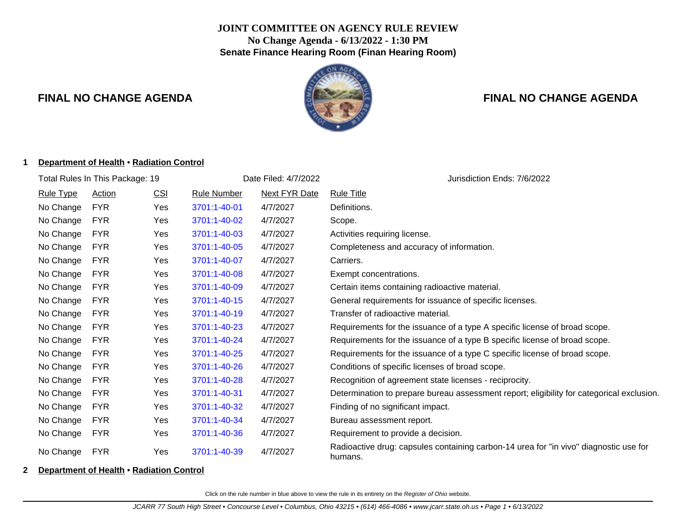## **JOINT COMMITTEE ON AGENCY RULE REVIEW No Change Agenda - 6/13/2022 - 1:30 PM Senate Finance Hearing Room (Finan Hearing Room)**



## **FINAL NO CHANGE AGENDA FINAL NO CHANGE AGENDA**

#### **1 Department of Health** • **Radiation Control**

| Total Rules In This Package: 19 |               |            |              | Date Filed: 4/7/2022 | Jurisdiction Ends: 7/6/2022                                                                      |  |  |
|---------------------------------|---------------|------------|--------------|----------------------|--------------------------------------------------------------------------------------------------|--|--|
| <b>Rule Type</b>                | <b>Action</b> | <b>CSI</b> | Rule Number  | <b>Next FYR Date</b> | <b>Rule Title</b>                                                                                |  |  |
| No Change                       | <b>FYR</b>    | Yes        | 3701:1-40-01 | 4/7/2027             | Definitions.                                                                                     |  |  |
| No Change                       | <b>FYR</b>    | Yes        | 3701:1-40-02 | 4/7/2027             | Scope.                                                                                           |  |  |
| No Change                       | <b>FYR</b>    | Yes        | 3701:1-40-03 | 4/7/2027             | Activities requiring license.                                                                    |  |  |
| No Change                       | <b>FYR</b>    | Yes        | 3701:1-40-05 | 4/7/2027             | Completeness and accuracy of information.                                                        |  |  |
| No Change                       | <b>FYR</b>    | Yes        | 3701:1-40-07 | 4/7/2027             | Carriers.                                                                                        |  |  |
| No Change                       | <b>FYR</b>    | Yes        | 3701:1-40-08 | 4/7/2027             | Exempt concentrations.                                                                           |  |  |
| No Change                       | <b>FYR</b>    | Yes        | 3701:1-40-09 | 4/7/2027             | Certain items containing radioactive material.                                                   |  |  |
| No Change                       | <b>FYR</b>    | Yes        | 3701:1-40-15 | 4/7/2027             | General requirements for issuance of specific licenses.                                          |  |  |
| No Change                       | <b>FYR</b>    | Yes        | 3701:1-40-19 | 4/7/2027             | Transfer of radioactive material.                                                                |  |  |
| No Change                       | <b>FYR</b>    | Yes        | 3701:1-40-23 | 4/7/2027             | Requirements for the issuance of a type A specific license of broad scope.                       |  |  |
| No Change                       | <b>FYR</b>    | Yes        | 3701:1-40-24 | 4/7/2027             | Requirements for the issuance of a type B specific license of broad scope.                       |  |  |
| No Change                       | <b>FYR</b>    | Yes        | 3701:1-40-25 | 4/7/2027             | Requirements for the issuance of a type C specific license of broad scope.                       |  |  |
| No Change                       | <b>FYR</b>    | Yes        | 3701:1-40-26 | 4/7/2027             | Conditions of specific licenses of broad scope.                                                  |  |  |
| No Change                       | <b>FYR</b>    | Yes        | 3701:1-40-28 | 4/7/2027             | Recognition of agreement state licenses - reciprocity.                                           |  |  |
| No Change                       | <b>FYR</b>    | Yes        | 3701:1-40-31 | 4/7/2027             | Determination to prepare bureau assessment report; eligibility for categorical exclusion.        |  |  |
| No Change                       | <b>FYR</b>    | Yes        | 3701:1-40-32 | 4/7/2027             | Finding of no significant impact.                                                                |  |  |
| No Change                       | <b>FYR</b>    | Yes        | 3701:1-40-34 | 4/7/2027             | Bureau assessment report.                                                                        |  |  |
| No Change                       | <b>FYR</b>    | Yes        | 3701:1-40-36 | 4/7/2027             | Requirement to provide a decision.                                                               |  |  |
| No Change                       | <b>FYR</b>    | Yes        | 3701:1-40-39 | 4/7/2027             | Radioactive drug: capsules containing carbon-14 urea for "in vivo" diagnostic use for<br>humans. |  |  |

#### **2 Department of Health** • **Radiation Control**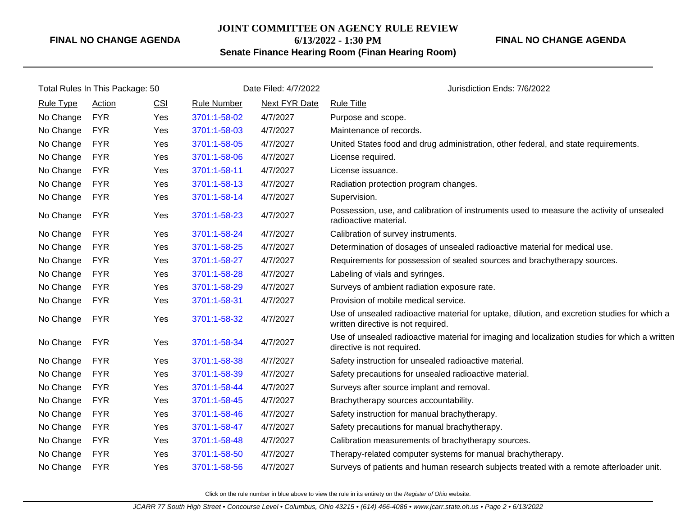#### **JOINT COMMITTEE ON AGENCY RULE REVIEW**

**6/13/2022 - 1:30 PM**

## **FINAL NO CHANGE AGENDA**

**Senate Finance Hearing Room (Finan Hearing Room)**

| Total Rules In This Package: 50 |            |     | Date Filed: 4/7/2022 |               | Jurisdiction Ends: 7/6/2022                                                                                                        |  |
|---------------------------------|------------|-----|----------------------|---------------|------------------------------------------------------------------------------------------------------------------------------------|--|
| <b>Rule Type</b>                | Action     | CSI | <b>Rule Number</b>   | Next FYR Date | <b>Rule Title</b>                                                                                                                  |  |
| No Change                       | <b>FYR</b> | Yes | 3701:1-58-02         | 4/7/2027      | Purpose and scope.                                                                                                                 |  |
| No Change                       | <b>FYR</b> | Yes | 3701:1-58-03         | 4/7/2027      | Maintenance of records.                                                                                                            |  |
| No Change                       | <b>FYR</b> | Yes | 3701:1-58-05         | 4/7/2027      | United States food and drug administration, other federal, and state requirements.                                                 |  |
| No Change                       | <b>FYR</b> | Yes | 3701:1-58-06         | 4/7/2027      | License required.                                                                                                                  |  |
| No Change                       | <b>FYR</b> | Yes | 3701:1-58-11         | 4/7/2027      | License issuance.                                                                                                                  |  |
| No Change                       | <b>FYR</b> | Yes | 3701:1-58-13         | 4/7/2027      | Radiation protection program changes.                                                                                              |  |
| No Change                       | <b>FYR</b> | Yes | 3701:1-58-14         | 4/7/2027      | Supervision.                                                                                                                       |  |
| No Change                       | <b>FYR</b> | Yes | 3701:1-58-23         | 4/7/2027      | Possession, use, and calibration of instruments used to measure the activity of unsealed<br>radioactive material.                  |  |
| No Change                       | <b>FYR</b> | Yes | 3701:1-58-24         | 4/7/2027      | Calibration of survey instruments.                                                                                                 |  |
| No Change                       | <b>FYR</b> | Yes | 3701:1-58-25         | 4/7/2027      | Determination of dosages of unsealed radioactive material for medical use.                                                         |  |
| No Change                       | <b>FYR</b> | Yes | 3701:1-58-27         | 4/7/2027      | Requirements for possession of sealed sources and brachytherapy sources.                                                           |  |
| No Change                       | <b>FYR</b> | Yes | 3701:1-58-28         | 4/7/2027      | Labeling of vials and syringes.                                                                                                    |  |
| No Change                       | <b>FYR</b> | Yes | 3701:1-58-29         | 4/7/2027      | Surveys of ambient radiation exposure rate.                                                                                        |  |
| No Change                       | <b>FYR</b> | Yes | 3701:1-58-31         | 4/7/2027      | Provision of mobile medical service.                                                                                               |  |
| No Change                       | <b>FYR</b> | Yes | 3701:1-58-32         | 4/7/2027      | Use of unsealed radioactive material for uptake, dilution, and excretion studies for which a<br>written directive is not required. |  |
| No Change                       | <b>FYR</b> | Yes | 3701:1-58-34         | 4/7/2027      | Use of unsealed radioactive material for imaging and localization studies for which a written<br>directive is not required.        |  |
| No Change                       | <b>FYR</b> | Yes | 3701:1-58-38         | 4/7/2027      | Safety instruction for unsealed radioactive material.                                                                              |  |
| No Change                       | <b>FYR</b> | Yes | 3701:1-58-39         | 4/7/2027      | Safety precautions for unsealed radioactive material.                                                                              |  |
| No Change                       | <b>FYR</b> | Yes | 3701:1-58-44         | 4/7/2027      | Surveys after source implant and removal.                                                                                          |  |
| No Change                       | <b>FYR</b> | Yes | 3701:1-58-45         | 4/7/2027      | Brachytherapy sources accountability.                                                                                              |  |
| No Change                       | <b>FYR</b> | Yes | 3701:1-58-46         | 4/7/2027      | Safety instruction for manual brachytherapy.                                                                                       |  |
| No Change                       | <b>FYR</b> | Yes | 3701:1-58-47         | 4/7/2027      | Safety precautions for manual brachytherapy.                                                                                       |  |
| No Change                       | <b>FYR</b> | Yes | 3701:1-58-48         | 4/7/2027      | Calibration measurements of brachytherapy sources.                                                                                 |  |
| No Change                       | <b>FYR</b> | Yes | 3701:1-58-50         | 4/7/2027      | Therapy-related computer systems for manual brachytherapy.                                                                         |  |
| No Change                       | <b>FYR</b> | Yes | 3701:1-58-56         | 4/7/2027      | Surveys of patients and human research subjects treated with a remote afterloader unit.                                            |  |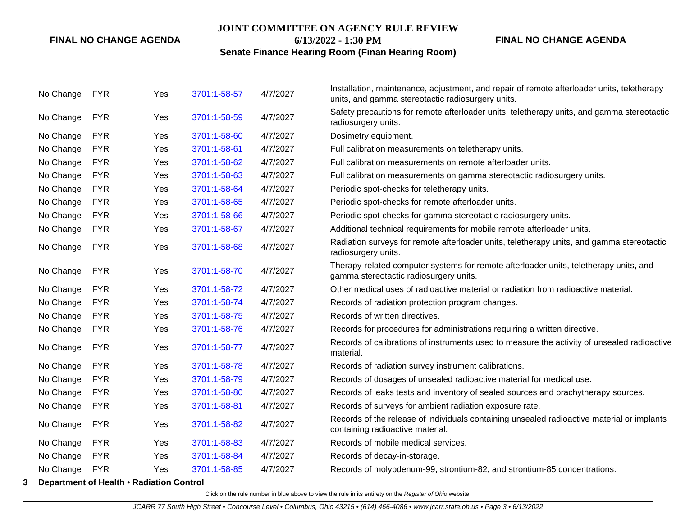#### **JOINT COMMITTEE ON AGENCY RULE REVIEW**

**6/13/2022 - 1:30 PM**

**FINAL NO CHANGE AGENDA**

## **Senate Finance Hearing Room (Finan Hearing Room)**

|   | No Change | <b>FYR</b>                               | Yes | 3701:1-58-57 | 4/7/2027 | Installation, maintenance, adjustment, and repair of remote afterloader units, teletherapy<br>units, and gamma stereotactic radiosurgery units. |
|---|-----------|------------------------------------------|-----|--------------|----------|-------------------------------------------------------------------------------------------------------------------------------------------------|
|   | No Change | <b>FYR</b>                               | Yes | 3701:1-58-59 | 4/7/2027 | Safety precautions for remote afterloader units, teletherapy units, and gamma stereotactic<br>radiosurgery units.                               |
|   | No Change | <b>FYR</b>                               | Yes | 3701:1-58-60 | 4/7/2027 | Dosimetry equipment.                                                                                                                            |
|   | No Change | <b>FYR</b>                               | Yes | 3701:1-58-61 | 4/7/2027 | Full calibration measurements on teletherapy units.                                                                                             |
|   | No Change | <b>FYR</b>                               | Yes | 3701:1-58-62 | 4/7/2027 | Full calibration measurements on remote afterloader units.                                                                                      |
|   | No Change | <b>FYR</b>                               | Yes | 3701:1-58-63 | 4/7/2027 | Full calibration measurements on gamma stereotactic radiosurgery units.                                                                         |
|   | No Change | <b>FYR</b>                               | Yes | 3701:1-58-64 | 4/7/2027 | Periodic spot-checks for teletherapy units.                                                                                                     |
|   | No Change | <b>FYR</b>                               | Yes | 3701:1-58-65 | 4/7/2027 | Periodic spot-checks for remote afterloader units.                                                                                              |
|   | No Change | <b>FYR</b>                               | Yes | 3701:1-58-66 | 4/7/2027 | Periodic spot-checks for gamma stereotactic radiosurgery units.                                                                                 |
|   | No Change | <b>FYR</b>                               | Yes | 3701:1-58-67 | 4/7/2027 | Additional technical requirements for mobile remote afterloader units.                                                                          |
|   | No Change | <b>FYR</b>                               | Yes | 3701:1-58-68 | 4/7/2027 | Radiation surveys for remote afterloader units, teletherapy units, and gamma stereotactic<br>radiosurgery units.                                |
|   | No Change | <b>FYR</b>                               | Yes | 3701:1-58-70 | 4/7/2027 | Therapy-related computer systems for remote afterloader units, teletherapy units, and<br>gamma stereotactic radiosurgery units.                 |
|   | No Change | <b>FYR</b>                               | Yes | 3701:1-58-72 | 4/7/2027 | Other medical uses of radioactive material or radiation from radioactive material.                                                              |
|   | No Change | <b>FYR</b>                               | Yes | 3701:1-58-74 | 4/7/2027 | Records of radiation protection program changes.                                                                                                |
|   | No Change | <b>FYR</b>                               | Yes | 3701:1-58-75 | 4/7/2027 | Records of written directives.                                                                                                                  |
|   | No Change | <b>FYR</b>                               | Yes | 3701:1-58-76 | 4/7/2027 | Records for procedures for administrations requiring a written directive.                                                                       |
|   | No Change | <b>FYR</b>                               | Yes | 3701:1-58-77 | 4/7/2027 | Records of calibrations of instruments used to measure the activity of unsealed radioactive<br>material.                                        |
|   | No Change | <b>FYR</b>                               | Yes | 3701:1-58-78 | 4/7/2027 | Records of radiation survey instrument calibrations.                                                                                            |
|   | No Change | <b>FYR</b>                               | Yes | 3701:1-58-79 | 4/7/2027 | Records of dosages of unsealed radioactive material for medical use.                                                                            |
|   | No Change | <b>FYR</b>                               | Yes | 3701:1-58-80 | 4/7/2027 | Records of leaks tests and inventory of sealed sources and brachytherapy sources.                                                               |
|   | No Change | <b>FYR</b>                               | Yes | 3701:1-58-81 | 4/7/2027 | Records of surveys for ambient radiation exposure rate.                                                                                         |
|   | No Change | <b>FYR</b>                               | Yes | 3701:1-58-82 | 4/7/2027 | Records of the release of individuals containing unsealed radioactive material or implants<br>containing radioactive material.                  |
|   | No Change | <b>FYR</b>                               | Yes | 3701:1-58-83 | 4/7/2027 | Records of mobile medical services.                                                                                                             |
|   | No Change | <b>FYR</b>                               | Yes | 3701:1-58-84 | 4/7/2027 | Records of decay-in-storage.                                                                                                                    |
|   | No Change | <b>FYR</b>                               | Yes | 3701:1-58-85 | 4/7/2027 | Records of molybdenum-99, strontium-82, and strontium-85 concentrations.                                                                        |
| 3 |           | Department of Health • Radiation Control |     |              |          |                                                                                                                                                 |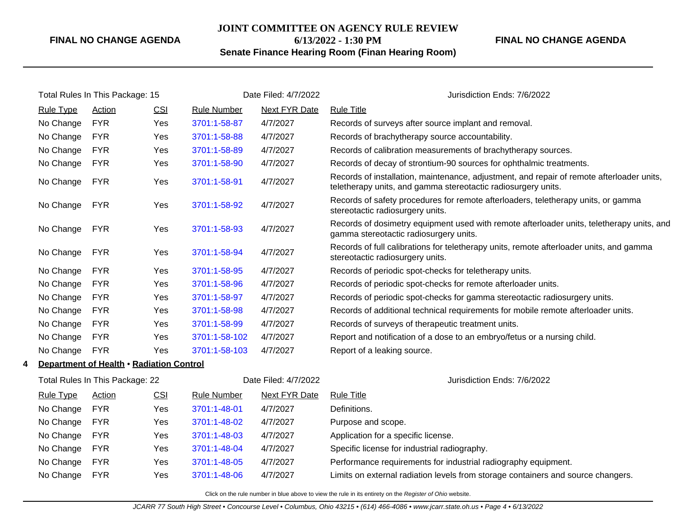## **JOINT COMMITTEE ON AGENCY RULE REVIEW**

**6/13/2022 - 1:30 PM**

## **Senate Finance Hearing Room (Finan Hearing Room)**

**FINAL NO CHANGE AGENDA**

|   | Total Rules In This Package: 15 |                                          | Date Filed: 4/7/2022 |                    | Jurisdiction Ends: 7/6/2022 |                                                                                                                                                            |
|---|---------------------------------|------------------------------------------|----------------------|--------------------|-----------------------------|------------------------------------------------------------------------------------------------------------------------------------------------------------|
|   | <b>Rule Type</b>                | Action                                   | CSI                  | <b>Rule Number</b> | Next FYR Date               | <b>Rule Title</b>                                                                                                                                          |
|   | No Change                       | <b>FYR</b>                               | Yes                  | 3701:1-58-87       | 4/7/2027                    | Records of surveys after source implant and removal.                                                                                                       |
|   | No Change                       | <b>FYR</b>                               | Yes                  | 3701:1-58-88       | 4/7/2027                    | Records of brachytherapy source accountability.                                                                                                            |
|   | No Change                       | <b>FYR</b>                               | Yes                  | 3701:1-58-89       | 4/7/2027                    | Records of calibration measurements of brachytherapy sources.                                                                                              |
|   | No Change                       | <b>FYR</b>                               | Yes                  | 3701:1-58-90       | 4/7/2027                    | Records of decay of strontium-90 sources for ophthalmic treatments.                                                                                        |
|   | No Change                       | <b>FYR</b>                               | Yes                  | 3701:1-58-91       | 4/7/2027                    | Records of installation, maintenance, adjustment, and repair of remote afterloader units,<br>teletherapy units, and gamma stereotactic radiosurgery units. |
|   | No Change                       | <b>FYR</b>                               | Yes                  | 3701:1-58-92       | 4/7/2027                    | Records of safety procedures for remote afterloaders, teletherapy units, or gamma<br>stereotactic radiosurgery units.                                      |
|   | No Change                       | <b>FYR</b>                               | Yes                  | 3701:1-58-93       | 4/7/2027                    | Records of dosimetry equipment used with remote afterloader units, teletherapy units, and<br>gamma stereotactic radiosurgery units.                        |
|   | No Change                       | <b>FYR</b>                               | Yes                  | 3701:1-58-94       | 4/7/2027                    | Records of full calibrations for teletherapy units, remote afterloader units, and gamma<br>stereotactic radiosurgery units.                                |
|   | No Change                       | <b>FYR</b>                               | Yes                  | 3701:1-58-95       | 4/7/2027                    | Records of periodic spot-checks for teletherapy units.                                                                                                     |
|   | No Change                       | <b>FYR</b>                               | Yes                  | 3701:1-58-96       | 4/7/2027                    | Records of periodic spot-checks for remote afterloader units.                                                                                              |
|   | No Change                       | <b>FYR</b>                               | Yes                  | 3701:1-58-97       | 4/7/2027                    | Records of periodic spot-checks for gamma stereotactic radiosurgery units.                                                                                 |
|   | No Change                       | <b>FYR</b>                               | Yes                  | 3701:1-58-98       | 4/7/2027                    | Records of additional technical requirements for mobile remote afterloader units.                                                                          |
|   | No Change                       | <b>FYR</b>                               | Yes                  | 3701:1-58-99       | 4/7/2027                    | Records of surveys of therapeutic treatment units.                                                                                                         |
|   | No Change                       | <b>FYR</b>                               | Yes                  | 3701:1-58-102      | 4/7/2027                    | Report and notification of a dose to an embryo/fetus or a nursing child.                                                                                   |
|   | No Change                       | <b>FYR</b>                               | Yes                  | 3701:1-58-103      | 4/7/2027                    | Report of a leaking source.                                                                                                                                |
| 4 |                                 | Department of Health . Radiation Control |                      |                    |                             |                                                                                                                                                            |
|   |                                 | Total Rules In This Package: 22          |                      |                    | Date Filed: 4/7/2022        | Jurisdiction Ends: 7/6/2022                                                                                                                                |
|   | <b>Rule Type</b>                | Action                                   | CSI                  | <b>Rule Number</b> | Next FYR Date               | <b>Rule Title</b>                                                                                                                                          |
|   | No Change                       | <b>FYR</b>                               | Yes                  | 3701:1-48-01       | 4/7/2027                    | Definitions.                                                                                                                                               |
|   | No Change                       | <b>FYR</b>                               | Yes                  | 3701:1-48-02       | 4/7/2027                    | Purpose and scope.                                                                                                                                         |
|   | No Change                       | <b>FYR</b>                               | Yes                  | 3701:1-48-03       | 4/7/2027                    | Application for a specific license.                                                                                                                        |
|   | No Change                       | <b>FYR</b>                               | Yes                  | 3701:1-48-04       | 4/7/2027                    | Specific license for industrial radiography.                                                                                                               |
|   | No Change                       | <b>FYR</b>                               | Yes                  | 3701:1-48-05       | 4/7/2027                    | Performance requirements for industrial radiography equipment.                                                                                             |
|   | No Change                       | <b>FYR</b>                               | Yes                  | 3701:1-48-06       | 4/7/2027                    | Limits on external radiation levels from storage containers and source changers.                                                                           |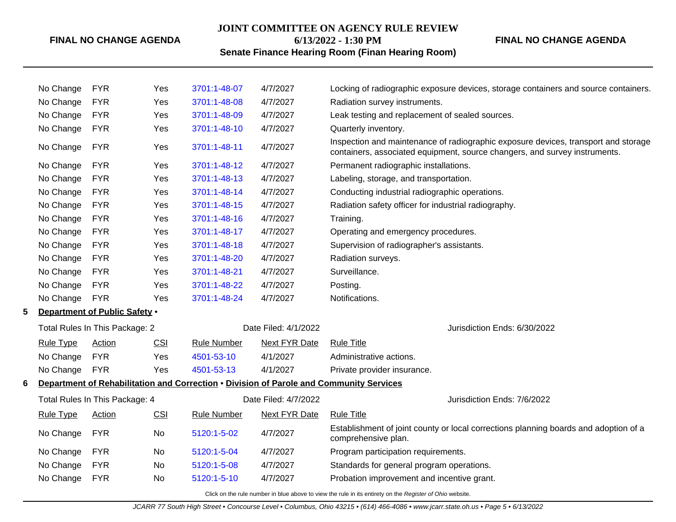## **JOINT COMMITTEE ON AGENCY RULE REVIEW 6/13/2022 - 1:30 PM**

**FINAL NO CHANGE AGENDA**

## **Senate Finance Hearing Room (Finan Hearing Room)**

|   | No Change        | <b>FYR</b>                     | Yes | 3701:1-48-07       | 4/7/2027             | Locking of radiographic exposure devices, storage containers and source containers.                                                                              |
|---|------------------|--------------------------------|-----|--------------------|----------------------|------------------------------------------------------------------------------------------------------------------------------------------------------------------|
|   | No Change        | <b>FYR</b>                     | Yes | 3701:1-48-08       | 4/7/2027             | Radiation survey instruments.                                                                                                                                    |
|   | No Change        | <b>FYR</b>                     | Yes | 3701:1-48-09       | 4/7/2027             | Leak testing and replacement of sealed sources.                                                                                                                  |
|   | No Change        | <b>FYR</b>                     | Yes | 3701:1-48-10       | 4/7/2027             | Quarterly inventory.                                                                                                                                             |
|   | No Change        | <b>FYR</b>                     | Yes | 3701:1-48-11       | 4/7/2027             | Inspection and maintenance of radiographic exposure devices, transport and storage<br>containers, associated equipment, source changers, and survey instruments. |
|   | No Change        | <b>FYR</b>                     | Yes | 3701:1-48-12       | 4/7/2027             | Permanent radiographic installations.                                                                                                                            |
|   | No Change        | <b>FYR</b>                     | Yes | 3701:1-48-13       | 4/7/2027             | Labeling, storage, and transportation.                                                                                                                           |
|   | No Change        | <b>FYR</b>                     | Yes | 3701:1-48-14       | 4/7/2027             | Conducting industrial radiographic operations.                                                                                                                   |
|   | No Change        | <b>FYR</b>                     | Yes | 3701:1-48-15       | 4/7/2027             | Radiation safety officer for industrial radiography.                                                                                                             |
|   | No Change        | <b>FYR</b>                     | Yes | 3701:1-48-16       | 4/7/2027             | Training.                                                                                                                                                        |
|   | No Change        | <b>FYR</b>                     | Yes | 3701:1-48-17       | 4/7/2027             | Operating and emergency procedures.                                                                                                                              |
|   | No Change        | <b>FYR</b>                     | Yes | 3701:1-48-18       | 4/7/2027             | Supervision of radiographer's assistants.                                                                                                                        |
|   | No Change        | <b>FYR</b>                     | Yes | 3701:1-48-20       | 4/7/2027             | Radiation surveys.                                                                                                                                               |
|   | No Change        | <b>FYR</b>                     | Yes | 3701:1-48-21       | 4/7/2027             | Surveillance.                                                                                                                                                    |
|   | No Change        | <b>FYR</b>                     | Yes | 3701:1-48-22       | 4/7/2027             | Posting.                                                                                                                                                         |
|   | No Change        | <b>FYR</b>                     | Yes | 3701:1-48-24       | 4/7/2027             | Notifications.                                                                                                                                                   |
| 5 |                  | Department of Public Safety .  |     |                    |                      |                                                                                                                                                                  |
|   |                  | Total Rules In This Package: 2 |     |                    | Date Filed: 4/1/2022 | Jurisdiction Ends: 6/30/2022                                                                                                                                     |
|   | <b>Rule Type</b> | <b>Action</b>                  | CSI | <b>Rule Number</b> | <b>Next FYR Date</b> | <b>Rule Title</b>                                                                                                                                                |
|   | No Change        | <b>FYR</b>                     | Yes | 4501-53-10         | 4/1/2027             | Administrative actions.                                                                                                                                          |
|   | No Change        | <b>FYR</b>                     | Yes | 4501-53-13         | 4/1/2027             | Private provider insurance.                                                                                                                                      |
| 6 |                  |                                |     |                    |                      | Department of Rehabilitation and Correction . Division of Parole and Community Services                                                                          |
|   |                  | Total Rules In This Package: 4 |     |                    | Date Filed: 4/7/2022 | Jurisdiction Ends: 7/6/2022                                                                                                                                      |
|   | <b>Rule Type</b> | <b>Action</b>                  | CSI | <b>Rule Number</b> | <b>Next FYR Date</b> | <b>Rule Title</b>                                                                                                                                                |
|   | No Change        | <b>FYR</b>                     | No  | 5120:1-5-02        | 4/7/2027             | Establishment of joint county or local corrections planning boards and adoption of a<br>comprehensive plan.                                                      |
|   | No Change        | <b>FYR</b>                     | No  | 5120:1-5-04        | 4/7/2027             | Program participation requirements.                                                                                                                              |
|   | No Change        | <b>FYR</b>                     | No  | 5120:1-5-08        | 4/7/2027             | Standards for general program operations.                                                                                                                        |
|   | No Change        | <b>FYR</b>                     | No  | 5120:1-5-10        | 4/7/2027             | Probation improvement and incentive grant.                                                                                                                       |
|   |                  |                                |     |                    |                      |                                                                                                                                                                  |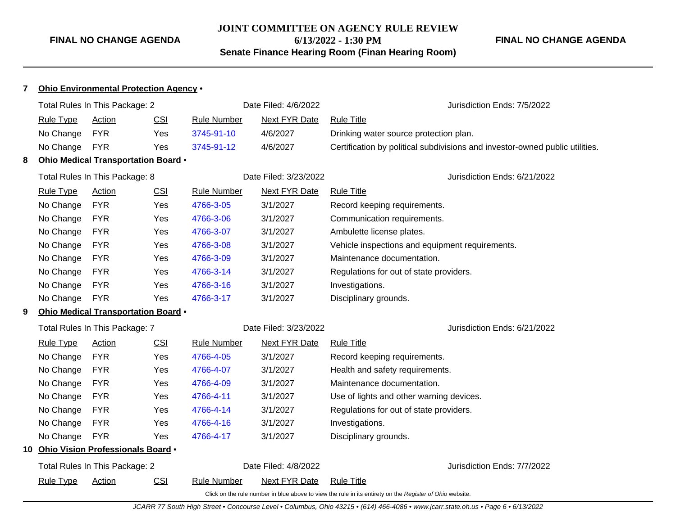## **JOINT COMMITTEE ON AGENCY RULE REVIEW 6/13/2022 - 1:30 PM Senate Finance Hearing Room (Finan Hearing Room)**

## **FINAL NO CHANGE AGENDA**

| $\overline{7}$<br>Ohio Environmental Protection Agency . |                  |                                     |            |                    |                       |                                                                                                          |
|----------------------------------------------------------|------------------|-------------------------------------|------------|--------------------|-----------------------|----------------------------------------------------------------------------------------------------------|
|                                                          |                  | Total Rules In This Package: 2      |            |                    | Date Filed: 4/6/2022  | Jurisdiction Ends: 7/5/2022                                                                              |
|                                                          | <b>Rule Type</b> | Action                              | CSI        | <b>Rule Number</b> | <b>Next FYR Date</b>  | <b>Rule Title</b>                                                                                        |
|                                                          | No Change        | <b>FYR</b>                          | Yes        | 3745-91-10         | 4/6/2027              | Drinking water source protection plan.                                                                   |
|                                                          | No Change        | <b>FYR</b>                          | Yes        | 3745-91-12         | 4/6/2027              | Certification by political subdivisions and investor-owned public utilities.                             |
| 8                                                        |                  | Ohio Medical Transportation Board . |            |                    |                       |                                                                                                          |
|                                                          |                  | Total Rules In This Package: 8      |            |                    | Date Filed: 3/23/2022 | Jurisdiction Ends: 6/21/2022                                                                             |
|                                                          | <b>Rule Type</b> | <b>Action</b>                       | <b>CSI</b> | <b>Rule Number</b> | <b>Next FYR Date</b>  | <b>Rule Title</b>                                                                                        |
|                                                          | No Change        | <b>FYR</b>                          | Yes        | 4766-3-05          | 3/1/2027              | Record keeping requirements.                                                                             |
|                                                          | No Change        | <b>FYR</b>                          | Yes        | 4766-3-06          | 3/1/2027              | Communication requirements.                                                                              |
|                                                          | No Change        | <b>FYR</b>                          | Yes        | 4766-3-07          | 3/1/2027              | Ambulette license plates.                                                                                |
|                                                          | No Change        | <b>FYR</b>                          | Yes        | 4766-3-08          | 3/1/2027              | Vehicle inspections and equipment requirements.                                                          |
|                                                          | No Change        | <b>FYR</b>                          | <b>Yes</b> | 4766-3-09          | 3/1/2027              | Maintenance documentation.                                                                               |
|                                                          | No Change        | <b>FYR</b>                          | Yes        | 4766-3-14          | 3/1/2027              | Regulations for out of state providers.                                                                  |
|                                                          | No Change        | <b>FYR</b>                          | Yes        | 4766-3-16          | 3/1/2027              | Investigations.                                                                                          |
|                                                          | No Change        | <b>FYR</b>                          | Yes        | 4766-3-17          | 3/1/2027              | Disciplinary grounds.                                                                                    |
| 9                                                        |                  | Ohio Medical Transportation Board . |            |                    |                       |                                                                                                          |
|                                                          |                  | Total Rules In This Package: 7      |            |                    | Date Filed: 3/23/2022 | Jurisdiction Ends: 6/21/2022                                                                             |
|                                                          | <b>Rule Type</b> | Action                              | CSI        | <b>Rule Number</b> | <b>Next FYR Date</b>  | <b>Rule Title</b>                                                                                        |
|                                                          | No Change        | <b>FYR</b>                          | Yes        | 4766-4-05          | 3/1/2027              | Record keeping requirements.                                                                             |
|                                                          | No Change        | <b>FYR</b>                          | Yes        | 4766-4-07          | 3/1/2027              | Health and safety requirements.                                                                          |
|                                                          | No Change        | <b>FYR</b>                          | Yes        | 4766-4-09          | 3/1/2027              | Maintenance documentation.                                                                               |
|                                                          | No Change        | <b>FYR</b>                          | Yes        | 4766-4-11          | 3/1/2027              | Use of lights and other warning devices.                                                                 |
|                                                          | No Change        | <b>FYR</b>                          | Yes        | 4766-4-14          | 3/1/2027              | Regulations for out of state providers.                                                                  |
|                                                          | No Change        | <b>FYR</b>                          | Yes        | 4766-4-16          | 3/1/2027              | Investigations.                                                                                          |
|                                                          | No Change        | <b>FYR</b>                          | Yes        | 4766-4-17          | 3/1/2027              | Disciplinary grounds.                                                                                    |
| 10                                                       |                  | Ohio Vision Professionals Board .   |            |                    |                       |                                                                                                          |
|                                                          |                  | Total Rules In This Package: 2      |            |                    | Date Filed: 4/8/2022  | Jurisdiction Ends: 7/7/2022                                                                              |
|                                                          | <b>Rule Type</b> | Action                              | CSI        | <b>Rule Number</b> | Next FYR Date         | <b>Rule Title</b>                                                                                        |
|                                                          |                  |                                     |            |                    |                       | Click on the rule number in blue above to view the rule in its entirety on the Register of Ohio website. |

JCARR 77 South High Street • Concourse Level • Columbus, Ohio 43215 • (614) 466-4086 • www.jcarr.state.oh.us • Page 6 • 6/13/2022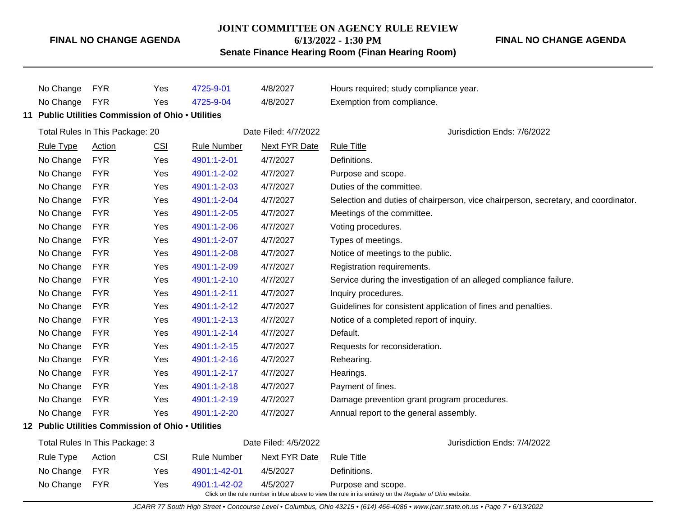## **JOINT COMMITTEE ON AGENCY RULE REVIEW**

**6/13/2022 - 1:30 PM**

## **Senate Finance Hearing Room (Finan Hearing Room)**

**FINAL NO CHANGE AGENDA**

| No Change                      | <b>FYR</b>                                         | Yes        | 4725-9-01            | 4/8/2027             | Hours required; study compliance year.                                                                                         |
|--------------------------------|----------------------------------------------------|------------|----------------------|----------------------|--------------------------------------------------------------------------------------------------------------------------------|
| No Change                      | <b>FYR</b>                                         | Yes        | 4725-9-04            | 4/8/2027             | Exemption from compliance.                                                                                                     |
|                                | 11 Public Utilities Commission of Ohio . Utilities |            |                      |                      |                                                                                                                                |
|                                | Total Rules In This Package: 20                    |            |                      | Date Filed: 4/7/2022 | Jurisdiction Ends: 7/6/2022                                                                                                    |
| <b>Rule Type</b>               | Action                                             | CSI        | <b>Rule Number</b>   | <b>Next FYR Date</b> | <b>Rule Title</b>                                                                                                              |
| No Change                      | <b>FYR</b>                                         | Yes        | 4901:1-2-01          | 4/7/2027             | Definitions.                                                                                                                   |
| No Change                      | <b>FYR</b>                                         | Yes        | 4901:1-2-02          | 4/7/2027             | Purpose and scope.                                                                                                             |
| No Change                      | <b>FYR</b>                                         | Yes        | 4901:1-2-03          | 4/7/2027             | Duties of the committee.                                                                                                       |
| No Change                      | <b>FYR</b>                                         | Yes        | 4901:1-2-04          | 4/7/2027             | Selection and duties of chairperson, vice chairperson, secretary, and coordinator.                                             |
| No Change                      | <b>FYR</b>                                         | Yes        | 4901:1-2-05          | 4/7/2027             | Meetings of the committee.                                                                                                     |
| No Change                      | <b>FYR</b>                                         | Yes        | 4901:1-2-06          | 4/7/2027             | Voting procedures.                                                                                                             |
| No Change                      | <b>FYR</b>                                         | Yes        | 4901:1-2-07          | 4/7/2027             | Types of meetings.                                                                                                             |
| No Change                      | <b>FYR</b>                                         | Yes        | 4901:1-2-08          | 4/7/2027             | Notice of meetings to the public.                                                                                              |
| No Change                      | <b>FYR</b>                                         | Yes        | 4901:1-2-09          | 4/7/2027             | Registration requirements.                                                                                                     |
| No Change                      | <b>FYR</b>                                         | Yes        | 4901:1-2-10          | 4/7/2027             | Service during the investigation of an alleged compliance failure.                                                             |
| No Change                      | <b>FYR</b>                                         | Yes        | 4901:1-2-11          | 4/7/2027             | Inquiry procedures.                                                                                                            |
| No Change                      | <b>FYR</b>                                         | Yes        | 4901:1-2-12          | 4/7/2027             | Guidelines for consistent application of fines and penalties.                                                                  |
| No Change                      | <b>FYR</b>                                         | Yes        | 4901:1-2-13          | 4/7/2027             | Notice of a completed report of inquiry.                                                                                       |
| No Change                      | <b>FYR</b>                                         | Yes        | 4901:1-2-14          | 4/7/2027             | Default.                                                                                                                       |
| No Change                      | <b>FYR</b>                                         | Yes        | 4901:1-2-15          | 4/7/2027             | Requests for reconsideration.                                                                                                  |
| No Change                      | <b>FYR</b>                                         | Yes        | 4901:1-2-16          | 4/7/2027             | Rehearing.                                                                                                                     |
| No Change                      | <b>FYR</b>                                         | Yes        | 4901:1-2-17          | 4/7/2027             | Hearings.                                                                                                                      |
| No Change                      | <b>FYR</b>                                         | Yes        | 4901:1-2-18          | 4/7/2027             | Payment of fines.                                                                                                              |
| No Change                      | <b>FYR</b>                                         | Yes        | 4901:1-2-19          | 4/7/2027             | Damage prevention grant program procedures.                                                                                    |
| No Change                      | <b>FYR</b>                                         | Yes        | 4901:1-2-20          | 4/7/2027             | Annual report to the general assembly.                                                                                         |
|                                | 12 Public Utilities Commission of Ohio . Utilities |            |                      |                      |                                                                                                                                |
| Total Rules In This Package: 3 |                                                    |            | Date Filed: 4/5/2022 |                      | Jurisdiction Ends: 7/4/2022                                                                                                    |
| <b>Rule Type</b>               | Action                                             | <u>CSI</u> | <b>Rule Number</b>   | <b>Next FYR Date</b> | <b>Rule Title</b>                                                                                                              |
| No Change                      | <b>FYR</b>                                         | Yes        | 4901:1-42-01         | 4/5/2027             | Definitions.                                                                                                                   |
| No Change                      | <b>FYR</b>                                         | Yes        | 4901:1-42-02         | 4/5/2027             | Purpose and scope.<br>Click on the rule number in blue above to view the rule in its entirety on the Register of Ohio website. |

JCARR 77 South High Street • Concourse Level • Columbus, Ohio 43215 • (614) 466-4086 • www.jcarr.state.oh.us • Page 7 • 6/13/2022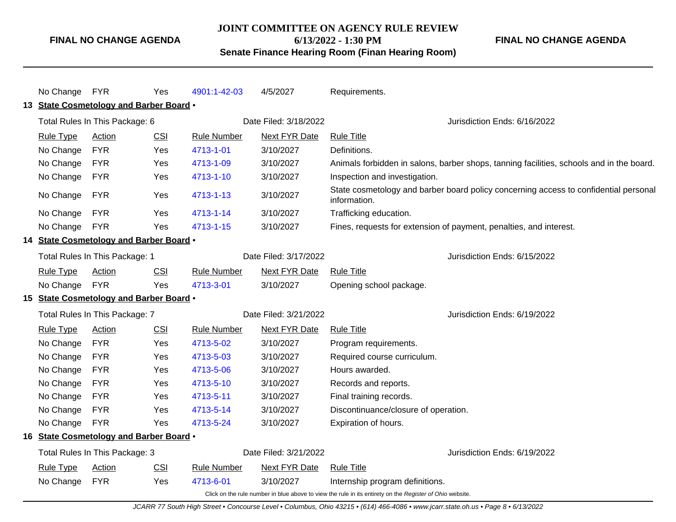## **JOINT COMMITTEE ON AGENCY RULE REVIEW 6/13/2022 - 1:30 PM**

**FINAL NO CHANGE AGENDA**

## **Senate Finance Hearing Room (Finan Hearing Room)**

| No Change FYR                                                                                            |                                         | Yes        | 4901:1-42-03       | 4/5/2027              | Requirements.                                                                                        |  |  |
|----------------------------------------------------------------------------------------------------------|-----------------------------------------|------------|--------------------|-----------------------|------------------------------------------------------------------------------------------------------|--|--|
| 13 State Cosmetology and Barber Board .                                                                  |                                         |            |                    |                       |                                                                                                      |  |  |
|                                                                                                          | Total Rules In This Package: 6          |            |                    | Date Filed: 3/18/2022 | Jurisdiction Ends: 6/16/2022                                                                         |  |  |
| <b>Rule Type</b>                                                                                         | <b>Action</b>                           | <b>CSI</b> | <b>Rule Number</b> | <b>Next FYR Date</b>  | <b>Rule Title</b>                                                                                    |  |  |
| No Change                                                                                                | <b>FYR</b>                              | Yes        | 4713-1-01          | 3/10/2027             | Definitions.                                                                                         |  |  |
| No Change                                                                                                | <b>FYR</b>                              | Yes        | 4713-1-09          | 3/10/2027             | Animals forbidden in salons, barber shops, tanning facilities, schools and in the board.             |  |  |
| No Change                                                                                                | <b>FYR</b>                              | Yes        | 4713-1-10          | 3/10/2027             | Inspection and investigation.                                                                        |  |  |
| No Change                                                                                                | <b>FYR</b>                              | Yes        | 4713-1-13          | 3/10/2027             | State cosmetology and barber board policy concerning access to confidential personal<br>information. |  |  |
| No Change                                                                                                | <b>FYR</b>                              | Yes        | 4713-1-14          | 3/10/2027             | Trafficking education.                                                                               |  |  |
| No Change                                                                                                | <b>FYR</b>                              | Yes        | 4713-1-15          | 3/10/2027             | Fines, requests for extension of payment, penalties, and interest.                                   |  |  |
|                                                                                                          | 14 State Cosmetology and Barber Board . |            |                    |                       |                                                                                                      |  |  |
|                                                                                                          | Total Rules In This Package: 1          |            |                    | Date Filed: 3/17/2022 | Jurisdiction Ends: 6/15/2022                                                                         |  |  |
| <b>Rule Type</b>                                                                                         | Action                                  | <b>CSI</b> | <b>Rule Number</b> | Next FYR Date         | <b>Rule Title</b>                                                                                    |  |  |
| No Change                                                                                                | <b>FYR</b>                              | Yes        | 4713-3-01          | 3/10/2027             | Opening school package.                                                                              |  |  |
|                                                                                                          | 15 State Cosmetology and Barber Board . |            |                    |                       |                                                                                                      |  |  |
|                                                                                                          | Total Rules In This Package: 7          |            |                    | Date Filed: 3/21/2022 | Jurisdiction Ends: 6/19/2022                                                                         |  |  |
| <b>Rule Type</b>                                                                                         | Action                                  | <b>CSI</b> | <b>Rule Number</b> | Next FYR Date         | <b>Rule Title</b>                                                                                    |  |  |
| No Change                                                                                                | <b>FYR</b>                              | Yes        | 4713-5-02          | 3/10/2027             | Program requirements.                                                                                |  |  |
| No Change                                                                                                | <b>FYR</b>                              | Yes        | 4713-5-03          | 3/10/2027             | Required course curriculum.                                                                          |  |  |
| No Change                                                                                                | <b>FYR</b>                              | Yes        | 4713-5-06          | 3/10/2027             | Hours awarded.                                                                                       |  |  |
| No Change                                                                                                | <b>FYR</b>                              | Yes        | 4713-5-10          | 3/10/2027             | Records and reports.                                                                                 |  |  |
| No Change                                                                                                | <b>FYR</b>                              | Yes        | 4713-5-11          | 3/10/2027             | Final training records.                                                                              |  |  |
| No Change                                                                                                | <b>FYR</b>                              | Yes        | 4713-5-14          | 3/10/2027             | Discontinuance/closure of operation.                                                                 |  |  |
| No Change                                                                                                | <b>FYR</b>                              | Yes        | 4713-5-24          | 3/10/2027             | Expiration of hours.                                                                                 |  |  |
|                                                                                                          | 16 State Cosmetology and Barber Board . |            |                    |                       |                                                                                                      |  |  |
|                                                                                                          | Total Rules In This Package: 3          |            |                    | Date Filed: 3/21/2022 | Jurisdiction Ends: 6/19/2022                                                                         |  |  |
| <b>Rule Type</b>                                                                                         | Action                                  | CSI        | <b>Rule Number</b> | Next FYR Date         | <b>Rule Title</b>                                                                                    |  |  |
| No Change                                                                                                | <b>FYR</b>                              | Yes        | 4713-6-01          | 3/10/2027             | Internship program definitions.                                                                      |  |  |
| Click on the rule number in blue above to view the rule in its entirety on the Register of Ohio website. |                                         |            |                    |                       |                                                                                                      |  |  |

JCARR 77 South High Street • Concourse Level • Columbus, Ohio 43215 • (614) 466-4086 • www.jcarr.state.oh.us • Page 8 • 6/13/2022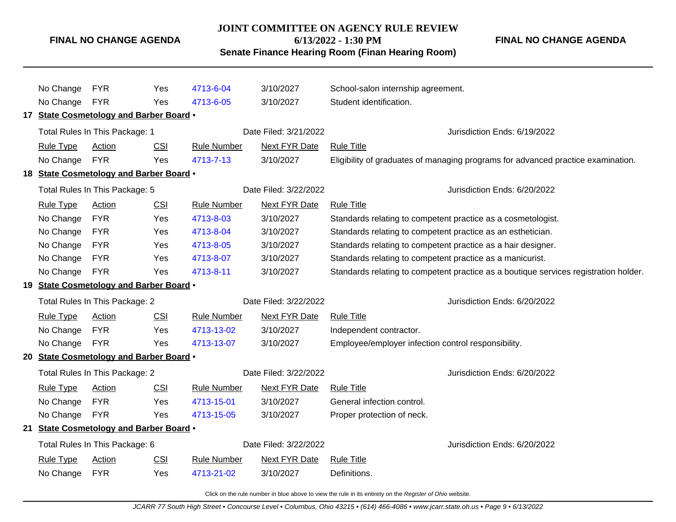#### **JOINT COMMITTEE ON AGENCY RULE REVIEW**

**6/13/2022 - 1:30 PM**

**FINAL NO CHANGE AGENDA**

**Senate Finance Hearing Room (Finan Hearing Room)**

No Change FYR Yes [4713-6-04](http://www.registerofohio.state.oh.us/jsps/publicdisplayrules/processPublicDisplayRules.jsp?entered_rule_no=4713-6-04&doWhat=GETBYRULENUM&raID=0) 3/10/2027 School-salon internship agreement. No Change FYR Yes [4713-6-05](http://www.registerofohio.state.oh.us/jsps/publicdisplayrules/processPublicDisplayRules.jsp?entered_rule_no=4713-6-05&doWhat=GETBYRULENUM&raID=0) 3/10/2027 Student identification. **17 State Cosmetology and Barber Board** • Total Rules In This Package: 1 **Date Filed: 3/21/2022** Jurisdiction Ends: 6/19/2022 Rule Type Action CSI Rule Number Next FYR Date Rule Title No Change FYR Yes [4713-7-13](http://www.registerofohio.state.oh.us/jsps/publicdisplayrules/processPublicDisplayRules.jsp?entered_rule_no=4713-7-13&doWhat=GETBYRULENUM&raID=0) 3/10/2027 Eligibility of graduates of managing programs for advanced practice examination. **18 State Cosmetology and Barber Board** • Total Rules In This Package: 5 Date Filed: 3/22/2022 Jurisdiction Ends: 6/20/2022 Rule Type Action CSI Rule Number Next FYR Date Rule Title No Change FYR Yes [4713-8-03](http://www.registerofohio.state.oh.us/jsps/publicdisplayrules/processPublicDisplayRules.jsp?entered_rule_no=4713-8-03&doWhat=GETBYRULENUM&raID=0) 3/10/2027 Standards relating to competent practice as a cosmetologist. No Change FYR Yes [4713-8-04](http://www.registerofohio.state.oh.us/jsps/publicdisplayrules/processPublicDisplayRules.jsp?entered_rule_no=4713-8-04&doWhat=GETBYRULENUM&raID=0) 3/10/2027 Standards relating to competent practice as an esthetician. No Change FYR Yes [4713-8-05](http://www.registerofohio.state.oh.us/jsps/publicdisplayrules/processPublicDisplayRules.jsp?entered_rule_no=4713-8-05&doWhat=GETBYRULENUM&raID=0) 3/10/2027 Standards relating to competent practice as a hair designer. No Change FYR Yes [4713-8-07](http://www.registerofohio.state.oh.us/jsps/publicdisplayrules/processPublicDisplayRules.jsp?entered_rule_no=4713-8-07&doWhat=GETBYRULENUM&raID=0) 3/10/2027 Standards relating to competent practice as a manicurist. No Change FYR Yes [4713-8-11](http://www.registerofohio.state.oh.us/jsps/publicdisplayrules/processPublicDisplayRules.jsp?entered_rule_no=4713-8-11&doWhat=GETBYRULENUM&raID=0) 3/10/2027 Standards relating to competent practice as a boutique services registration holder. **19 State Cosmetology and Barber Board** • Total Rules In This Package: 2 Date Filed: 3/22/2022 Jurisdiction Ends: 6/20/2022 Rule Type Action CSI Rule Number Next FYR Date Rule Title No Change FYR Yes [4713-13-02](http://www.registerofohio.state.oh.us/jsps/publicdisplayrules/processPublicDisplayRules.jsp?entered_rule_no=4713-13-02&doWhat=GETBYRULENUM&raID=0) 3/10/2027 Independent contractor. No Change FYR Yes [4713-13-07](http://www.registerofohio.state.oh.us/jsps/publicdisplayrules/processPublicDisplayRules.jsp?entered_rule_no=4713-13-07&doWhat=GETBYRULENUM&raID=0) 3/10/2027 Employee/employer infection control responsibility. **20 State Cosmetology and Barber Board** • Total Rules In This Package: 2 **Date Filed: 3/22/2022** Jurisdiction Ends: 6/20/2022 Rule Type Action CSI Rule Number Next FYR Date Rule Title No Change FYR Yes [4713-15-01](http://www.registerofohio.state.oh.us/jsps/publicdisplayrules/processPublicDisplayRules.jsp?entered_rule_no=4713-15-01&doWhat=GETBYRULENUM&raID=0) 3/10/2027 General infection control. No Change FYR Yes [4713-15-05](http://www.registerofohio.state.oh.us/jsps/publicdisplayrules/processPublicDisplayRules.jsp?entered_rule_no=4713-15-05&doWhat=GETBYRULENUM&raID=0) 3/10/2027 Proper protection of neck. **21 State Cosmetology and Barber Board** • Total Rules In This Package: 6 **Date Filed: 3/22/2022** Jurisdiction Ends: 6/20/2022 Rule Type Action CSI Rule Number Next FYR Date Rule Title No Change FYR Yes [4713-21-02](http://www.registerofohio.state.oh.us/jsps/publicdisplayrules/processPublicDisplayRules.jsp?entered_rule_no=4713-21-02&doWhat=GETBYRULENUM&raID=0) 3/10/2027 Definitions.